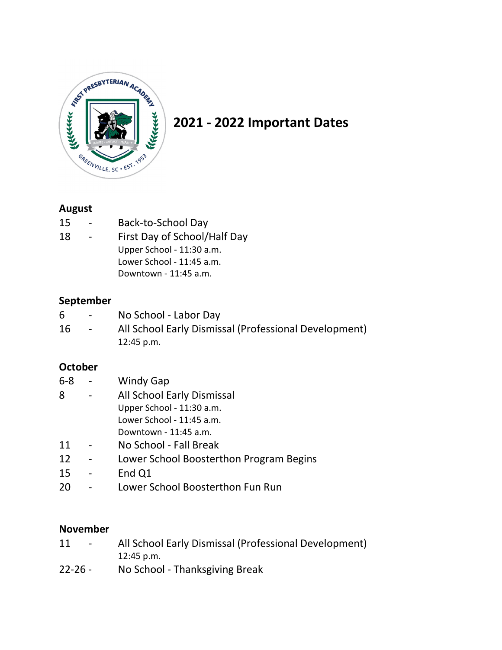

# **2021 - 2022 Important Dates**

# **August**

- 15 Back-to-School Day
- 18 First Day of School/Half Day Upper School - 11:30 a.m. Lower School - 11:45 a.m. Downtown - 11:45 a.m.

# **September**

| 6. | $\sim$ 100 $\mu$ | No School - Labor Day                                 |
|----|------------------|-------------------------------------------------------|
| 16 | $\sim$ 100 $\mu$ | All School Early Dismissal (Professional Development) |
|    |                  | $12:45$ p.m.                                          |

# **October**

- 6-8 Windy Gap
- 8 All School Early Dismissal Upper School - 11:30 a.m. Lower School - 11:45 a.m.
	- Downtown 11:45 a.m.
- 11 No School Fall Break
- 12 Lower School Boosterthon Program Begins
- 15 End Q1
- 20 Lower School Boosterthon Fun Run

# **November**

- 11 All School Early Dismissal (Professional Development) 12:45 p.m.
- 22-26 No School Thanksgiving Break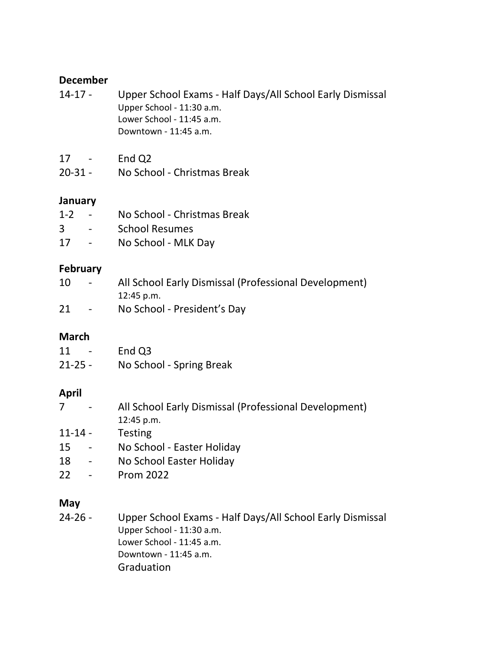#### **December**

- 14-17 Upper School Exams Half Days/All School Early Dismissal Upper School - 11:30 a.m. Lower School - 11:45 a.m. Downtown - 11:45 a.m.
- 17 End Q2
- 20-31 No School Christmas Break

#### **January**

| $1 - 2$                  | No School - Christmas Break |
|--------------------------|-----------------------------|
| 3                        | <b>School Resumes</b>       |
| $\overline{\phantom{a}}$ | $N = C - L - L$ $N = 110C$  |

17 - No School - MLK Day

#### **February**

| 10 | $\sim$ 100 $\mu$ | All School Early Dismissal (Professional Development) |  |
|----|------------------|-------------------------------------------------------|--|
|    |                  | $12:45$ p.m.                                          |  |
| 21 | $\sim$ 10 $\pm$  | No School - President's Day                           |  |

# **March**

| 11<br>$\overline{\phantom{0}}$ | End Q3                   |
|--------------------------------|--------------------------|
| $21 - 25 -$                    | No School - Spring Break |

# **April**

| $\sim$ $-$ | All School Early Dismissal (Professional Development) |  |
|------------|-------------------------------------------------------|--|
|            | $12:45$ p.m.                                          |  |

- 11-14 Testing
- 15 No School Easter Holiday
- 18 No School Easter Holiday
- 22 Prom 2022

# **May**

24-26 - Upper School Exams - Half Days/All School Early Dismissal Upper School - 11:30 a.m. Lower School - 11:45 a.m. Downtown - 11:45 a.m. Graduation